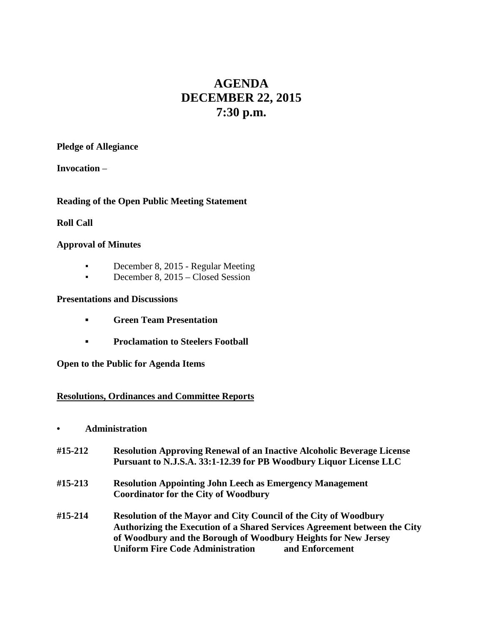# **AGENDA DECEMBER 22, 2015 7:30 p.m.**

### **Pledge of Allegiance**

**Invocation** –

## **Reading of the Open Public Meeting Statement**

## **Roll Call**

## **Approval of Minutes**

- **•** December 8, 2015 Regular Meeting
- **•** December 8, 2015 Closed Session

## **Presentations and Discussions**

- **▪ Green Team Presentation**
- **▪ Proclamation to Steelers Football**

**Open to the Public for Agenda Items**

## **Resolutions, Ordinances and Committee Reports**

- **• Administration**
- **#15-212 Resolution Approving Renewal of an Inactive Alcoholic Beverage License Pursuant to N.J.S.A. 33:1-12.39 for PB Woodbury Liquor License LLC**
- **#15-213 Resolution Appointing John Leech as Emergency Management Coordinator for the City of Woodbury**
- **#15-214 Resolution of the Mayor and City Council of the City of Woodbury Authorizing the Execution of a Shared Services Agreement between the City of Woodbury and the Borough of Woodbury Heights for New Jersey Uniform Fire Code Administration and Enforcement**